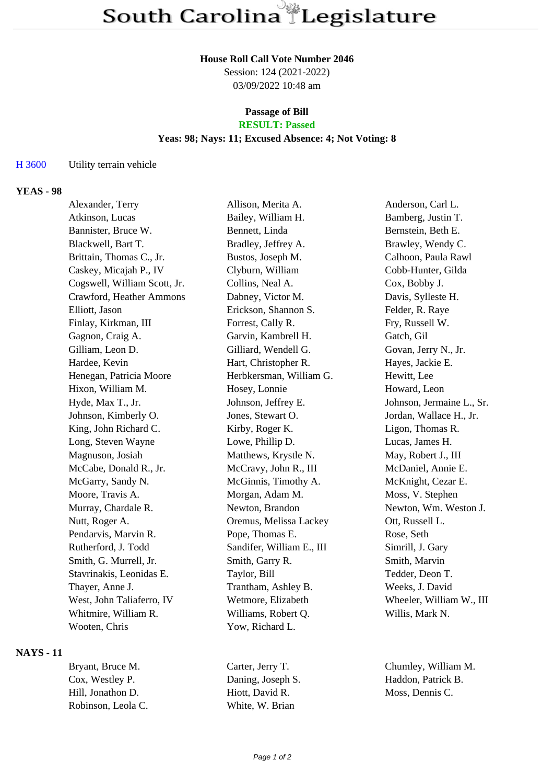#### **House Roll Call Vote Number 2046**

Session: 124 (2021-2022) 03/09/2022 10:48 am

#### **Passage of Bill RESULT: Passed**

#### **Yeas: 98; Nays: 11; Excused Absence: 4; Not Voting: 8**

### H 3600 Utility terrain vehicle

### **YEAS - 98**

| Alexander, Terry             | Allison, Merita A.        | Anderson, Carl L.         |
|------------------------------|---------------------------|---------------------------|
| Atkinson, Lucas              | Bailey, William H.        | Bamberg, Justin T.        |
| Bannister, Bruce W.          | Bennett, Linda            | Bernstein, Beth E.        |
| Blackwell, Bart T.           | Bradley, Jeffrey A.       | Brawley, Wendy C.         |
| Brittain, Thomas C., Jr.     | Bustos, Joseph M.         | Calhoon, Paula Rawl       |
| Caskey, Micajah P., IV       | Clyburn, William          | Cobb-Hunter, Gilda        |
| Cogswell, William Scott, Jr. | Collins, Neal A.          | Cox, Bobby J.             |
| Crawford, Heather Ammons     | Dabney, Victor M.         | Davis, Sylleste H.        |
| Elliott, Jason               | Erickson, Shannon S.      | Felder, R. Raye           |
| Finlay, Kirkman, III         | Forrest, Cally R.         | Fry, Russell W.           |
| Gagnon, Craig A.             | Garvin, Kambrell H.       | Gatch, Gil                |
| Gilliam, Leon D.             | Gilliard, Wendell G.      | Govan, Jerry N., Jr.      |
| Hardee, Kevin                | Hart, Christopher R.      | Hayes, Jackie E.          |
| Henegan, Patricia Moore      | Herbkersman, William G.   | Hewitt, Lee               |
| Hixon, William M.            | Hosey, Lonnie             | Howard, Leon              |
| Hyde, Max T., Jr.            | Johnson, Jeffrey E.       | Johnson, Jermaine L., Sr. |
| Johnson, Kimberly O.         | Jones, Stewart O.         | Jordan, Wallace H., Jr.   |
| King, John Richard C.        | Kirby, Roger K.           | Ligon, Thomas R.          |
| Long, Steven Wayne           | Lowe, Phillip D.          | Lucas, James H.           |
| Magnuson, Josiah             | Matthews, Krystle N.      | May, Robert J., III       |
| McCabe, Donald R., Jr.       | McCravy, John R., III     | McDaniel, Annie E.        |
| McGarry, Sandy N.            | McGinnis, Timothy A.      | McKnight, Cezar E.        |
| Moore, Travis A.             | Morgan, Adam M.           | Moss, V. Stephen          |
| Murray, Chardale R.          | Newton, Brandon           | Newton, Wm. Weston J.     |
| Nutt, Roger A.               | Oremus, Melissa Lackey    | Ott, Russell L.           |
| Pendarvis, Marvin R.         | Pope, Thomas E.           | Rose, Seth                |
| Rutherford, J. Todd          | Sandifer, William E., III | Simrill, J. Gary          |
| Smith, G. Murrell, Jr.       | Smith, Garry R.           | Smith, Marvin             |
| Stavrinakis, Leonidas E.     | Taylor, Bill              | Tedder, Deon T.           |
| Thayer, Anne J.              | Trantham, Ashley B.       | Weeks, J. David           |
| West, John Taliaferro, IV    | Wetmore, Elizabeth        | Wheeler, William W., III  |
| Whitmire, William R.         | Williams, Robert Q.       | Willis, Mark N.           |
| Wooten, Chris                | Yow, Richard L.           |                           |

### **NAYS - 11**

Bryant, Bruce M. Carter, Jerry T. Chumley, William M. Cox, Westley P. Daning, Joseph S. Haddon, Patrick B. Hill, Jonathon D. Hiott, David R. Moss, Dennis C. Robinson, Leola C. White, W. Brian